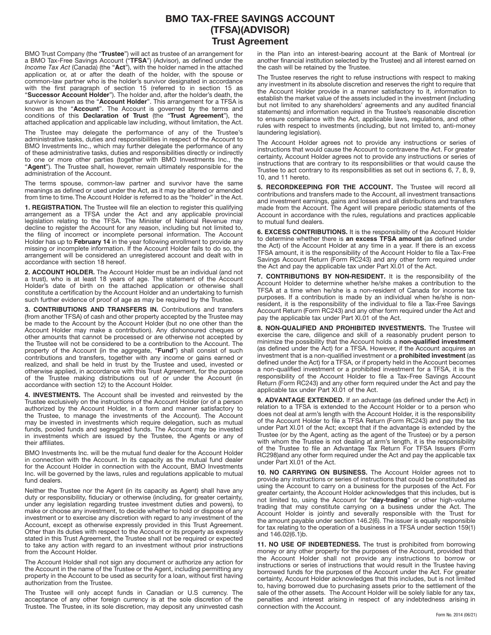## **BMO TAX-FREE SAVINGS ACCOUNT (TFSA)(ADVISOR) Trust Agreement**

BMO Trust Company (the "**Trustee**") will act as trustee of an arrangement for a BMO Tax-Free Savings Account ("**TFSA**") (Advisor), as defined under the Income Tax Act (Canada) (the "**Act**"), with the holder named in the attached application or, at or after the death of the holder, with the spouse or common-law partner who is the holder's survivor designated in accordance with the first paragraph of section 15 (referred to in section 15 as "**Successor Account Holder**"). The holder and, after the holder's death, the survivor is known as the "**Account Holder**". This arrangement for a TFSA is known as the "**Account**". The Account is governed by the terms and conditions of this **Declaration of Trust** (the "**Trust Agreement**"), the attached application and applicable law including, without limitation, the Act.

The Trustee may delegate the performance of any of the Trustee's administrative tasks, duties and responsibilities in respect of the Account to BMO Investments Inc., which may further delegate the performance of any of these administrative tasks, duties and responsibilities directly or indirectly to one or more other parties (together with BMO Investments Inc., the "**Agent**"). The Trustee shall, however, remain ultimately responsible for the administration of the Account.

The terms spouse, common-law partner and survivor have the same meanings as defined or used under the Act, as it may be altered or amended from time to time. The Account Holder is referred to as the "holder" in the Act.

**1. REGISTRATION.** The Trustee will file an election to register this qualifying arrangement as a TFSA under the Act and any applicable provincial legislation relating to the TFSA. The Minister of National Revenue may decline to register the Account for any reason, including but not limited to, the filing of incorrect or incomplete personal information. The Account Holder has up to **February 14** in the year following enrollment to provide any missing or incomplete information. If the Account Holder fails to do so, the arrangement will be considered an unregistered account and dealt with in accordance with section 18 hereof.

**2. ACCOUNT HOLDER.** The Account Holder must be an individual (and not a trust), who is at least 18 years of age. The statement of the Account Holder's date of birth on the attached application or otherwise shall constitute a certification by the Account Holder and an undertaking to furnish such further evidence of proof of age as may be required by the Trustee.

**3. CONTRIBUTIONS AND TRANSFERS IN.** Contributions and transfers (from another TFSA) of cash and other property accepted by the Trustee may be made to the Account by the Account Holder (but no one other than the Account Holder may make a contribution). Any dishonoured cheques or other amounts that cannot be processed or are otherwise not accepted by the Trustee will not be considered to be a contribution to the Account. The property of the Account (in the aggregate, "**Fund**") shall consist of such contributions and transfers, together with any income or gains earned or realized, and shall be held in trust by the Trustee and used, invested or otherwise applied, in accordance with this Trust Agreement, for the purpose of the Trustee making distributions out of or under the Account (in accordance with section 12) to the Account Holder.

**4. INVESTMENTS.** The Account shall be invested and reinvested by the Trustee exclusively on the instructions of the Account Holder (or of a person authorized by the Account Holder, in a form and manner satisfactory to the Trustee, to manage the investments of the Account). The Account may be invested in investments which require delegation, such as mutual funds, pooled funds and segregated funds. The Account may be invested in investments which are issued by the Trustee, the Agents or any of their affiliates.

BMO Investments Inc. will be the mutual fund dealer for the Account Holder in connection with the Account. In its capacity as the mutual fund dealer for the Account Holder in connection with the Account, BMO Investments Inc. will be governed by the laws, rules and regulations applicable to mutual fund dealers.

Neither the Trustee nor the Agent (in its capacity as Agent) shall have any duty or responsibility, fiduciary or otherwise (including, for greater certainty, under any legislation regarding trustee investment duties and powers), to make or choose any investment, to decide whether to hold or dispose of any investment or to exercise any discretion with regard to any investment of the Account, except as otherwise expressly provided in this Trust Agreement. Other than its duties with respect to the Account or its property as expressly stated in this Trust Agreement, the Trustee shall not be required or expected to take any action with regard to an investment without prior instructions from the Account Holder.

The Account Holder shall not sign any document or authorize any action for the Account in the name of the Trustee or the Agent, including permitting any property in the Account to be used as security for a loan, without first having authorization from the Trustee.

The Trustee will only accept funds in Canadian or U.S currency. The acceptance of any other foreign currency is at the sole discretion of the Trustee. The Trustee, in its sole discretion, may deposit any uninvested cash in the Plan into an interest-bearing account at the Bank of Montreal (or another financial institution selected by the Trustee) and all interest earned on the cash will be retained by the Trustee.

The Trustee reserves the right to refuse instructions with respect to making any investment in its absolute discretion and reserves the right to require that the Account Holder provide in a manner satisfactory to it, information to establish the market value of the assets included in the investment (including but not limited to any shareholders' agreements and any audited financial statements) and information required in the Trustee's reasonable discretion to ensure compliance with the Act, applicable laws, regulations, and other rules with respect to investments (including, but not limited to, anti-money laundering legislation).

The Account Holder agrees not to provide any instructions or series of instructions that would cause the Account to contravene the Act. For greater certainty, Account Holder agrees not to provide any instructions or series of instructions that are contrary to its responsibilities or that would cause the Trustee to act contrary to its responsibilities as set out in sections 6, 7, 8, 9, 10, and 11 hereto.

**5. RECORDKEEPING FOR THE ACCOUNT.** The Trustee will record all contributions and transfers made to the Account, all investment transactions and investment earnings, gains and losses and all distributions and transfers made from the Account. The Agent will prepare periodic statements of the Account in accordance with the rules, regulations and practices applicable to mutual fund dealers.

**6. EXCESS CONTRIBUTIONS.** It is the responsibility of the Account Holder to determine whether there is **an excess TFSA amount** (as defined under the Act) of the Account Holder at any time in a year. If there is an excess TFSA amount, it is the responsibility of the Account Holder to file a Tax-Free Savings Account Return (Form RC243) and any other form required under the Act and pay the applicable tax under Part XI.01 of the Act.

**7. CONTRIBUTIONS BY NON-RESIDENT.** It is the responsibility of the Account Holder to determine whether he/she makes a contribution to the TFSA at a time when he/she is a non-resident of Canada for income tax purposes. If a contribution is made by an individual when he/she is nonresident, it is the responsibility of the individual to file a Tax-Free Savings Account Return (Form RC243) and any other form required under the Act and pay the applicable tax under Part XI.01 of the Act.

**8. NON-QUALIFIED AND PROHIBITED INVESTMENTS.** The Trustee will exercise the care, diligence and skill of a reasonably prudent person to minimize the possibility that the Account holds a **non-qualified investment**  (as defined under the Act) for a TFSA. However, if the Account acquires an investment that is a non-qualified investment or a **prohibited investment** (as defined under the Act) for a TFSA, or if property held in the Account becomes a non-qualified investment or a prohibited investment for a TFSA, it is the responsibility of the Account Holder to file a Tax-Free Savings Account Return (Form RC243) and any other form required under the Act and pay the applicable tax under Part XI.01 of the Act.

**9. ADVANTAGE EXTENDED.** If an advantage (as defined under the Act) in relation to a TFSA is extended to the Account Holder or to a person who does not deal at arm's length with the Account Holder, it is the responsibility of the Account Holder to file a TFSA Return (Form RC243) and pay the tax under Part XI.01 of the Act; except that if the advantage is extended by the Trustee (or by the Agent, acting as the agent of the Trustee) or by a person with whom the Trustee is not dealing at arm's length, it is the responsibility of the Trustee to file an Advantage Tax Return For TFSA Issuers (Form RC298)and any other form required under the Act and pay the applicable tax under Part XI.01 of the Act.

**10. NO CARRYING ON BUSINESS.** The Account Holder agrees not to provide any instructions or series of instructions that could be constituted as using the Account to carry on a business for the purposes of the Act. For greater certainty, the Account Holder acknowledges that this includes, but is not limited to, using the Account for "**day-trading**" or other high-volume trading that may constitute carrying on a business under the Act. The Account Holder is jointly and severally responsible with the Trust for the amount payable under section 146.2(6). The issuer is equally responsible for tax relating to the operation of a business in a TFSA under section 159(1) and 146.02(6.1)b.

**11. NO USE OF INDEBTEDNESS.** The trust is prohibited from borrowing money or any other property for the purposes of the Account, provided that the Account Holder shall not provide any instructions to borrow or instructions or series of instructions that would result in the Trustee having borrowed funds for the purposes of the Account under the Act. For greater certainty, Account Holder acknowledges that this includes, but is not limited to, having borrowed due to purchasing assets prior to the settlement of the sale of the other assets. The Account Holder will be solely liable for any tax, penalties and interest arising in respect of any indebtedness arising in connection with the Account.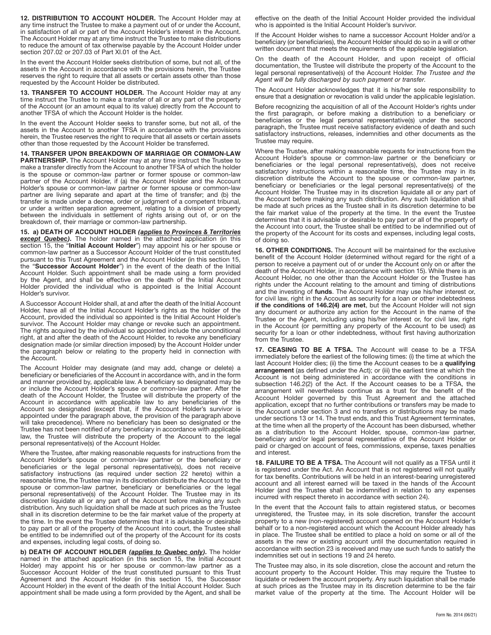**12. DISTRIBUTION TO ACCOUNT HOLDER.** The Account Holder may at any time instruct the Trustee to make a payment out of or under the Account, in satisfaction of all or part of the Account Holder's interest in the Account. The Account Holder may at any time instruct the Trustee to make distributions to reduce the amount of tax otherwise payable by the Account Holder under section 207.02 or 207.03 of Part XI.01 of the Act.

In the event the Account Holder seeks distribution of some, but not all, of the assets in the Account in accordance with the provisions herein, the Trustee reserves the right to require that all assets or certain assets other than those requested by the Account Holder be distributed.

13. TRANSFER TO ACCOUNT HOLDER. The Account Holder may at any time instruct the Trustee to make a transfer of all or any part of the property of the Account (or an amount equal to its value) directly from the Account to another TFSA of which the Account Holder is the holder.

In the event the Account Holder seeks to transfer some, but not all, of the assets in the Account to another TFSA in accordance with the provisions herein, the Trustee reserves the right to require that all assets or certain assets other than those requested by the Account Holder be transferred.

**14. TRANSFER UPON BREAKDOWN OF MARRIAGE OR COMMON-LAW PARTNERSHIP.** The Account Holder may at any time instruct the Trustee to make a transfer directly from the Account to another TFSA of which the holder is the spouse or common-law partner or former spouse or common-law partner of the Account Holder, if (a) the Account Holder and the Account Holder's spouse or common-law partner or former spouse or common-law partner are living separate and apart at the time of transfer; and (b) the transfer is made under a decree, order or judgment of a competent tribunal, or under a written separation agreement, relating to a division of property between the individuals in settlement of rights arising out of, or on the breakdown of, their marriage or common-law partnership.

**15. a) DEATH OF ACCOUNT HOLDER** *(applies to Provinces & Territories* **except Quebec).** The holder named in the attached application (in this section 15, the "**Initial Account Holder**") may appoint his or her spouse or common-law partner as a Successor Account Holder of the trust constituted pursuant to this Trust Agreement and the Account Holder (in this section 15, the "**Successor Account Holder**") in the event of the death of the Initial Account Holder. Such appointment shall be made using a form provided by the Agent, and shall be effective on the death of the Initial Account Holder provided the individual who is appointed is the Initial Account Holder's survivor.

A Successor Account Holder shall, at and after the death of the Initial Account Holder, have all of the Initial Account Holder's rights as the holder of the Account, provided the individual so appointed is the Initial Account Holder's survivor. The Account Holder may change or revoke such an appointment. The rights acquired by the individual so appointed include the unconditional right, at and after the death of the Account Holder, to revoke any beneficiary designation made (or similar direction imposed) by the Account Holder under the paragraph below or relating to the property held in connection with the Account.

The Account Holder may designate (and may add, change or delete) a beneficiary or beneficiaries of the Account in accordance with, and in the form and manner provided by, applicable law. A beneficiary so designated may be or include the Account Holder's spouse or common-law partner. After the death of the Account Holder, the Trustee will distribute the property of the Account in accordance with applicable law to any beneficiaries of the Account so designated (except that, if the Account Holder's survivor is appointed under the paragraph above, the provision of the paragraph above will take precedence). Where no beneficiary has been so designated or the Trustee has not been notified of any beneficiary in accordance with applicable law, the Trustee will distribute the property of the Account to the legal personal representative(s) of the Account Holder.

Where the Trustee, after making reasonable requests for instructions from the Account Holder's spouse or common-law partner or the beneficiary or beneficiaries or the legal personal representative(s), does not receive satisfactory instructions (as required under section 22 hereto) within a reasonable time, the Trustee may in its discretion distribute the Account to the spouse or common-law partner, beneficiary or beneficiaries or the legal personal representative(s) of the Account Holder. The Trustee may in its discretion liquidate all or any part of the Account before making any such distribution. Any such liquidation shall be made at such prices as the Trustee shall in its discretion determine to be the fair market value of the property at the time. In the event the Trustee determines that it is advisable or desirable to pay part or all of the property of the Account into court, the Trustee shall be entitled to be indemnified out of the property of the Account for its costs and expenses, including legal costs, of doing so.

**b) DEATH OF ACCOUNT HOLDER** *(applies to Quebec only).* The holder named in the attached application (in this section 15, the Initial Account Holder) may appoint his or her spouse or common-law partner as a Successor Account Holder of the trust constituted pursuant to this Trust Agreement and the Account Holder (in this section 15, the Successor Account Holder) in the event of the death of the Initial Account Holder. Such appointment shall be made using a form provided by the Agent, and shall be

effective on the death of the Initial Account Holder provided the individual who is appointed is the Initial Account Holder's survivor.

If the Account Holder wishes to name a successor Account Holder and/or a beneficiary (or beneficiaries), the Account Holder should do so in a will or other written document that meets the requirements of the applicable legislation.

On the death of the Account Holder, and upon receipt of official documentation, the Trustee will distribute the property of the Account to the legal personal representative(s) of the Account Holder. The Trustee and the Agent will be fully discharged by such payment or transfer.

The Account Holder acknowledges that it is his/her sole responsibility to ensure that a designation or revocation is valid under the applicable legislation.

Before recognizing the acquisition of all of the Account Holder's rights under the first paragraph, or before making a distribution to a beneficiary or beneficiaries or the legal personal representative(s) under the second paragraph, the Trustee must receive satisfactory evidence of death and such satisfactory instructions, releases, indemnities and other documents as the Trustee may require.

Where the Trustee, after making reasonable requests for instructions from the Account Holder's spouse or common-law partner or the beneficiary or beneficiaries or the legal personal representative(s), does not receive satisfactory instructions within a reasonable time, the Trustee may in its discretion distribute the Account to the spouse or common-law partner, beneficiary or beneficiaries or the legal personal representative(s) of the Account Holder. The Trustee may in its discretion liquidate all or any part of the Account before making any such distribution. Any such liquidation shall be made at such prices as the Trustee shall in its discretion determine to be the fair market value of the property at the time. In the event the Trustee determines that it is advisable or desirable to pay part or all of the property of the Account into court, the Trustee shall be entitled to be indemnified out of the property of the Account for its costs and expenses, including legal costs, of doing so.

**16. OTHER CONDITIONS.** The Account will be maintained for the exclusive benefit of the Account Holder (determined without regard for the right of a person to receive a payment out of or under the Account only on or after the death of the Account Holder, in accordance with section 15). While there is an Account Holder, no one other than the Account Holder or the Trustee has rights under the Account relating to the amount and timing of distributions and the investing of **funds**. The Account Holder may use his/her interest or, for civil law, right in the Account as security for a loan or other indebtedness **if the conditions of 146.2(4) are met**, but the Account Holder will not sign any document or authorize any action for the Account in the name of the Trustee or the Agent, including using his/her interest or, for civil law, right in the Account (or permitting any property of the Account to be used) as security for a loan or other indebtedness, without first having authorization from the Trustee.

**17. CEASING TO BE A TFSA.** The Account will cease to be a TFSA immediately before the earliest of the following times: (i) the time at which the last Account Holder dies; (ii) the time the Account ceases to be a **qualifying arrangement** (as defined under the Act); or (iii) the earliest time at which the Account is not being administered in accordance with the conditions in subsection 146.2(2) of the Act. If the Account ceases to be a TFSA, the arrangement will nevertheless continue as a trust for the benefit of the Account Holder governed by this Trust Agreement and the attached application, except that no further contributions or transfers may be made to the Account under section 3 and no transfers or distributions may be made under sections 13 or 14. The trust ends, and this Trust Agreement terminates, at the time when all the property of the Account has been disbursed, whether as a distribution to the Account Holder, spouse, common-law partner, beneficiary and/or legal personal representative of the Account Holder or paid or charged on account of fees, commissions, expense, taxes penalties and interest.

**18. FAILURE TO BE A TFSA.** The Account will not qualify as a TFSA until it is registered under the Act. An Account that is not registered will not qualify for tax benefits. Contributions will be held in an interest-bearing unregistered account and all interest earned will be taxed in the hands of the Account Holder (and the Trustee shall be indemnified in relation to any expenses incurred with respect thereto in accordance with section 24).

In the event that the Account fails to attain registered status, or becomes unregistered, the Trustee may, in its sole discretion, transfer the account property to a new (non-registered) account opened on the Account Holder's behalf or to a non-registered account which the Account Holder already has in place. The Trustee shall be entitled to place a hold on some or all of the assets in the new or existing account until the documentation required in accordance with section 23 is received and may use such funds to satisfy the indemnities set out in sections 19 and 24 hereto.

The Trustee may also, in its sole discretion, close the account and return the account property to the Account Holder. This may require the Trustee to liquidate or redeem the account property. Any such liquidation shall be made at such prices as the Trustee may in its discretion determine to be the fair market value of the property at the time. The Account Holder will be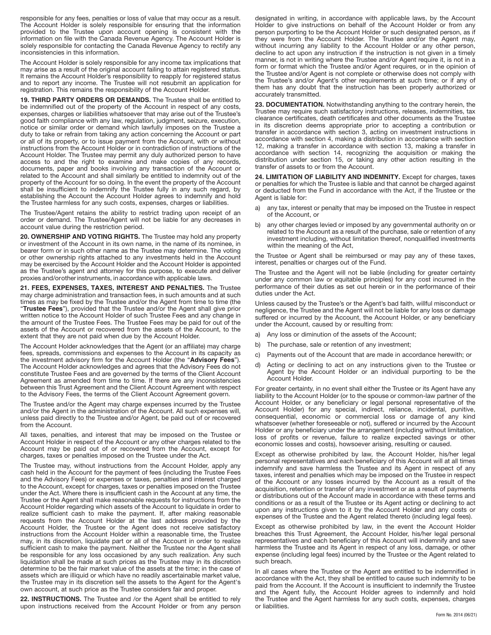responsible for any fees, penalties or loss of value that may occur as a result. The Account Holder is solely responsible for ensuring that the information provided to the Trustee upon account opening is consistent with the information on file with the Canada Revenue Agency. The Account Holder is solely responsible for contacting the Canada Revenue Agency to rectify any inconsistencies in this information.

The Account Holder is solely responsible for any income tax implications that may arise as a result of the original account failing to attain registered status. It remains the Account Holder's responsibility to reapply for registered status and to report any income. The Trustee will not resubmit an application for registration. This remains the responsibility of the Account Holder.

**19. THIRD PARTY ORDERS OR DEMANDS.** The Trustee shall be entitled to be indemnified out of the property of the Account in respect of any costs, expenses, charges or liabilities whatsoever that may arise out of the Trustee's good faith compliance with any law, regulation, judgment, seizure, execution, notice or similar order or demand which lawfully imposes on the Trustee a duty to take or refrain from taking any action concerning the Account or part or all of its property, or to issue payment from the Account, with or without instructions from the Account Holder or in contradiction of instructions of the Account Holder. The Trustee may permit any duly authorized person to have access to and the right to examine and make copies of any records, documents, paper and books involving any transaction of the Account or related to the Account and shall similarly be entitled to indemnity out of the property of the Account for so doing. In the event the property of the Account shall be insufficient to indemnify the Trustee fully in any such regard, by establishing the Account the Account Holder agrees to indemnify and hold the Trustee harmless for any such costs, expenses, charges or liabilities.

The Trustee/Agent retains the ability to restrict trading upon receipt of an order or demand. The Trustee/Agent will not be liable for any decreases in account value during the restriction period.

**20. OWNERSHIP AND VOTING RIGHTS.** The Trustee may hold any property or investment of the Account in its own name, in the name of its nominee, in bearer form or in such other name as the Trustee may determine. The voting or other ownership rights attached to any investments held in the Account may be exercised by the Account Holder and the Account Holder is appointed as the Trustee's agent and attorney for this purpose, to execute and deliver proxies and/or other instruments, in accordance with applicable laws.

**21. FEES, EXPENSES, TAXES, INTEREST AND PENALTIES.** The Trustee may charge administration and transaction fees, in such amounts and at such times as may be fixed by the Trustee and/or the Agent from time to time (the "**Trustee Fees**"), provided that the Trustee and/or the Agent shall give prior written notice to the Account Holder of such Trustee Fees and any change in the amount of the Trustee Fees. The Trustee Fees may be paid for out of the assets of the Account or recovered from the assets of the Account, to the extent that they are not paid when due by the Account Holder.

The Account Holder acknowledges that the Agent (or an affiliate) may charge fees, spreads, commissions and expenses to the Account in its capacity as the investment advisory firm for the Account Holder (the "**Advisory Fees**"). The Account Holder acknowledges and agrees that the Advisory Fees do not constitute Trustee Fees and are governed by the terms of the Client Account Agreement as amended from time to time. If there are any inconsistencies between this Trust Agreement and the Client Account Agreement with respect to the Advisory Fees, the terms of the Client Account Agreement govern.

The Trustee and/or the Agent may charge expenses incurred by the Trustee and/or the Agent in the administration of the Account. All such expenses will, unless paid directly to the Trustee and/or Agent, be paid out of or recovered from the Account.

All taxes, penalties, and interest that may be imposed on the Trustee or Account Holder in respect of the Account or any other charges related to the Account may be paid out of or recovered from the Account, except for charges, taxes or penalties imposed on the Trustee under the Act.

The Trustee may, without instructions from the Account Holder, apply any cash held in the Account for the payment of fees (including the Trustee Fees and the Advisory Fees) or expenses or taxes, penalties and interest charged to the Account, except for charges, taxes or penalties imposed on the Trustee under the Act. Where there is insufficient cash in the Account at any time, the Trustee or the Agent shall make reasonable requests for instructions from the Account Holder regarding which assets of the Account to liquidate in order to realize sufficient cash to make the payment. If, after making reasonable requests from the Account Holder at the last address provided by the Account Holder, the Trustee or the Agent does not receive satisfactory instructions from the Account Holder within a reasonable time, the Trustee may, in its discretion, liquidate part or all of the Account in order to realize sufficient cash to make the payment. Neither the Trustee nor the Agent shall be responsible for any loss occasioned by any such realization. Any such liquidation shall be made at such prices as the Trustee may in its discretion determine to be the fair market value of the assets at the time; in the case of assets which are illiquid or which have no readily ascertainable market value, the Trustee may in its discretion sell the assets to the Agent for the Agent's own account, at such price as the Trustee considers fair and proper.

**22. INSTRUCTIONS.** The Trustee and /or the Agent shall be entitled to rely upon instructions received from the Account Holder or from any person

designated in writing, in accordance with applicable laws, by the Account Holder to give instructions on behalf of the Account Holder or from any person purporting to be the Account Holder or such designated person, as if they were from the Account Holder. The Trustee and/or the Agent may, without incurring any liability to the Account Holder or any other person, decline to act upon any instruction if the instruction is not given in a timely manner, is not in writing where the Trustee and/or Agent require it, is not in a form or format which the Trustee and/or Agent requires, or in the opinion of the Trustee and/or Agent is not complete or otherwise does not comply with the Trustee's and/or Agent's other requirements at such time; or if any of them has any doubt that the instruction has been properly authorized or accurately transmitted.

**23. DOCUMENTATION.** Notwithstanding anything to the contrary herein, the Trustee may require such satisfactory instructions, releases, indemnities, tax clearance certificates, death certificates and other documents as the Trustee in its discretion deems appropriate prior to accepting a contribution or transfer in accordance with section 3, acting on investment instructions in accordance with section 4, making a distribution in accordance with section 12, making a transfer in accordance with section 13, making a transfer in accordance with section 14, recognizing the acquisition or making the distribution under section 15, or taking any other action resulting in the transfer of assets to or from the Account.

24. LIMITATION OF LIABILITY AND INDEMNITY. Except for charges, taxes or penalties for which the Trustee is liable and that cannot be charged against or deducted from the Fund in accordance with the Act, if the Trustee or the Agent is liable for:

- a) any tax, interest or penalty that may be imposed on the Trustee in respect of the Account, or
- b) any other charges levied or imposed by any governmental authority on or related to the Account as a result of the purchase, sale or retention of any investment including, without limitation thereof, nonqualified investments within the meaning of the Act,

the Trustee or Agent shall be reimbursed or may pay any of these taxes, interest, penalties or charges out of the Fund.

The Trustee and the Agent will not be liable (including for greater certainty under any common law or equitable principles) for any cost incurred in the performance of their duties as set out herein or in the performance of their duties under the Act.

Unless caused by the Trustee's or the Agent's bad faith, willful misconduct or negligence, the Trustee and the Agent will not be liable for any loss or damage suffered or incurred by the Account, the Account Holder, or any beneficiary under the Account, caused by or resulting from:

- a) Any loss or diminution of the assets of the Account;
- b) The purchase, sale or retention of any investment;
- c) Payments out of the Account that are made in accordance herewith; or
- d) Acting or declining to act on any instructions given to the Trustee or Agent by the Account Holder or an individual purporting to be the Account Holder.

For greater certainty, in no event shall either the Trustee or its Agent have any liability to the Account Holder (or to the spouse or common-law partner of the Account Holder, or any beneficiary or legal personal representative of the Account Holder) for any special, indirect, reliance, incidental, punitive, consequential, economic or commercial loss or damage of any kind whatsoever (whether foreseeable or not), suffered or incurred by the Account Holder or any beneficiary under the arrangement (including without limitation, loss of profits or revenue, failure to realize expected savings or other economic losses and costs), howsoever arising, resulting or caused.

Except as otherwise prohibited by law, the Account Holder, his/her legal personal representatives and each beneficiary of this Account will at all times indemnify and save harmless the Trustee and its Agent in respect of any taxes, interest and penalties which may be imposed on the Trustee in respect of the Account or any losses incurred by the Account as a result of the acquisition, retention or transfer of any investment or as a result of payments or distributions out of the Account made in accordance with these terms and conditions or as a result of the Trustee or its Agent acting or declining to act upon any instructions given to it by the Account Holder and any costs or expenses of the Trustee and the Agent related thereto (including legal fees).

Except as otherwise prohibited by law, in the event the Account Holder breaches this Trust Agreement, the Account Holder, his/her legal personal representatives and each beneficiary of this Account will indemnify and save harmless the Trustee and its Agent in respect of any loss, damage, or other expense (including legal fees) incurred by the Trustee or the Agent related to such breach.

In all cases where the Trustee or the Agent are entitled to be indemnified in accordance with the Act, they shall be entitled to cause such indemnity to be paid from the Account. If the Account is insufficient to indemnify the Trustee and the Agent fully, the Account Holder agrees to indemnify and hold the Trustee and the Agent harmless for any such costs, expenses, charges or liabilities.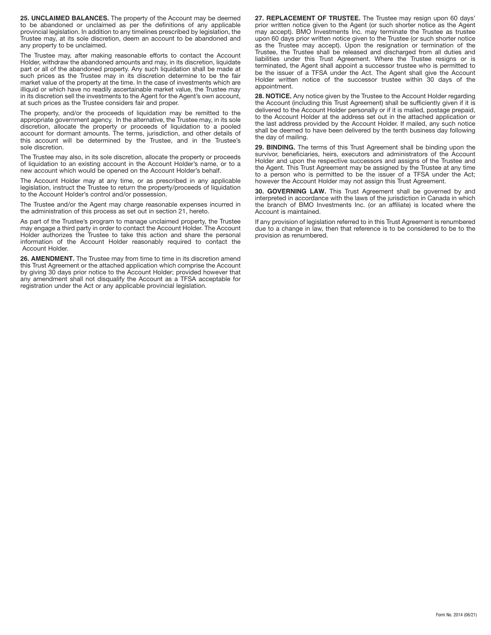**25. UNCLAIMED BALANCES.** The property of the Account may be deemed to be abandoned or unclaimed as per the definitions of any applicable provincial legislation. In addition to any timelines prescribed by legislation, the Trustee may, at its sole discretion, deem an account to be abandoned and any property to be unclaimed.

The Trustee may, after making reasonable efforts to contact the Account Holder, withdraw the abandoned amounts and may, in its discretion, liquidate part or all of the abandoned property. Any such liquidation shall be made at such prices as the Trustee may in its discretion determine to be the fair market value of the property at the time. In the case of investments which are illiquid or which have no readily ascertainable market value, the Trustee may in its discretion sell the investments to the Agent for the Agent's own account, at such prices as the Trustee considers fair and proper.

The property, and/or the proceeds of liquidation may be remitted to the appropriate government agency. In the alternative, the Trustee may, in its sole discretion, allocate the property or proceeds of liquidation to a pooled account for dormant amounts. The terms, jurisdiction, and other details of this account will be determined by the Trustee, and in the Trustee's sole discretion.

The Trustee may also, in its sole discretion, allocate the property or proceeds of liquidation to an existing account in the Account Holder's name, or to a new account which would be opened on the Account Holder's behalf.

The Account Holder may at any time, or as prescribed in any applicable legislation, instruct the Trustee to return the property/proceeds of liquidation to the Account Holder's control and/or possession.

The Trustee and/or the Agent may charge reasonable expenses incurred in the administration of this process as set out in section 21, hereto.

As part of the Trustee's program to manage unclaimed property, the Trustee may engage a third party in order to contact the Account Holder. The Account Holder authorizes the Trustee to take this action and share the personal information of the Account Holder reasonably required to contact the Account Holder.

**26. AMENDMENT.** The Trustee may from time to time in its discretion amend this Trust Agreement or the attached application which comprise the Account by giving 30 days prior notice to the Account Holder; provided however that any amendment shall not disqualify the Account as a TFSA acceptable for registration under the Act or any applicable provincial legislation.

**27. REPLACEMENT OF TRUSTEE.** The Trustee may resign upon 60 days' prior written notice given to the Agent (or such shorter notice as the Agent may accept). BMO Investments Inc. may terminate the Trustee as trustee upon 60 days prior written notice given to the Trustee (or such shorter notice as the Trustee may accept). Upon the resignation or termination of the Trustee, the Trustee shall be released and discharged from all duties and liabilities under this Trust Agreement. Where the Trustee resigns or is terminated, the Agent shall appoint a successor trustee who is permitted to be the issuer of a TFSA under the Act. The Agent shall give the Account Holder written notice of the successor trustee within 30 days of the appointment.

**28. NOTICE.** Any notice given by the Trustee to the Account Holder regarding the Account (including this Trust Agreement) shall be sufficiently given if it is delivered to the Account Holder personally or if it is mailed, postage prepaid, to the Account Holder at the address set out in the attached application or the last address provided by the Account Holder. If mailed, any such notice shall be deemed to have been delivered by the tenth business day following the day of mailing.

**29. BINDING.** The terms of this Trust Agreement shall be binding upon the survivor, beneficiaries, heirs, executors and administrators of the Account Holder and upon the respective successors and assigns of the Trustee and the Agent. This Trust Agreement may be assigned by the Trustee at any time to a person who is permitted to be the issuer of a TFSA under the Act; however the Account Holder may not assign this Trust Agreement.

**30. GOVERNING LAW.** This Trust Agreement shall be governed by and interpreted in accordance with the laws of the jurisdiction in Canada in which the branch of BMO Investments Inc. (or an affiliate) is located where the Account is maintained.

If any provision of legislation referred to in this Trust Agreement is renumbered due to a change in law, then that reference is to be considered to be to the provision as renumbered.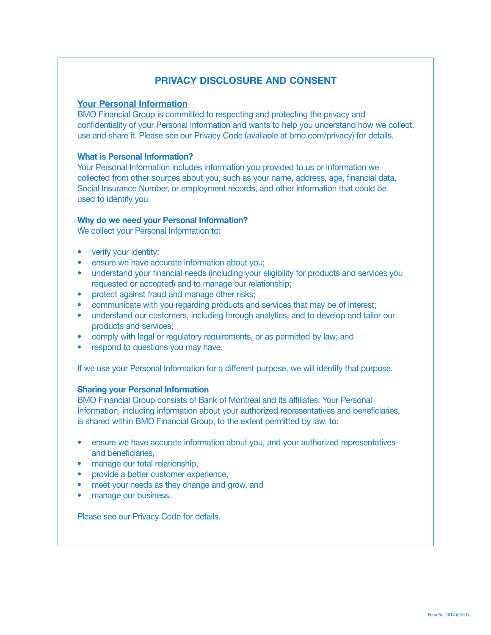# **PRIVACY DISCLOSURE AND CONSENT**

#### **Your Personal Information**

BMO Financial Group is committed to respecting and protecting the privacy and confidentiality of your Personal Information and wants to help you understand how we collect, use and share it. Please see our Privacy Code (available at [bmo.com/privacy](http://bmo.com/privacy)) for details.

#### **What is Personal Information?**

Your Personal Information includes information you provided to us or information we collected from other sources about you, such as your name, address, age, financial data, Social Insurance Number, or employment records, and other information that could be used to identify you.

#### **Why do we need your Personal Information?**

We collect your Personal Information to:

- verify your identity;
- ensure we have accurate information about you;
- understand your financial needs (including your eligibility for products and services you requested or accepted) and to manage our relationship;
- protect against fraud and manage other risks;
- communicate with you regarding products and services that may be of interest;
- understand our customers, including through analytics, and to develop and tailor our products and services;
- comply with legal or regulatory requirements, or as permitted by law; and
- respond to questions you may have.

If we use your Personal Information for a different purpose, we will identify that purpose.

### **Sharing your Personal Information**

BMO Financial Group consists of Bank of Montreal and its affiliates. Your Personal Information, including information about your authorized representatives and beneficiaries, is shared within BMO Financial Group, to the extent permitted by law, to:

- ensure we have accurate information about you, and your authorized representatives and beneficiaries,
- manage our total relationship,
- provide a better customer experience,
- meet your needs as they change and grow, and
- manage our business.

Please see our Privacy Code for details.